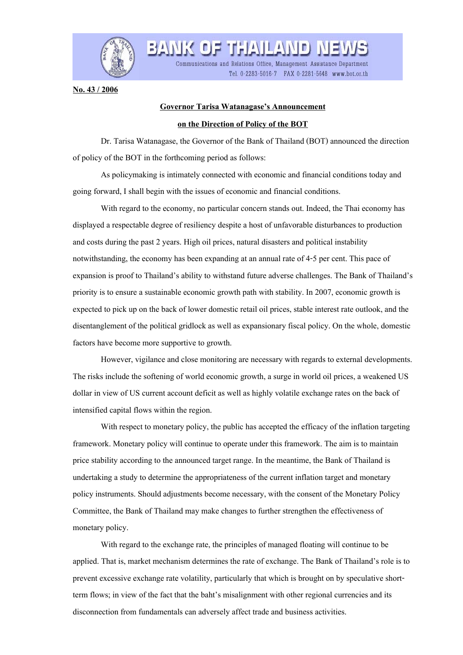

**No. 43 / 2006**

## **Governor Tarisa Watanagase's Announcement**

Communications and Relations Office, Management Assistance Department

Tel. 0-2283-5016-7 FAX 0-2281-5648 www.bot.or.th

BANK OF THAILAND

## **on the Direction of Policy of the BOT**

 Dr. Tarisa Watanagase, the Governor of the Bank of Thailand (BOT) announced the direction of policy of the BOT in the forthcoming period as follows:

 As policymaking is intimately connected with economic and financial conditions today and going forward, I shall begin with the issues of economic and financial conditions.

 With regard to the economy, no particular concern stands out. Indeed, the Thai economy has displayed a respectable degree of resiliency despite a host of unfavorable disturbances to production and costs during the past 2 years. High oil prices, natural disasters and political instability notwithstanding, the economy has been expanding at an annual rate of 4-5 per cent. This pace of expansion is proof to Thailand's ability to withstand future adverse challenges. The Bank of Thailand's priority is to ensure a sustainable economic growth path with stability. In 2007, economic growth is expected to pick up on the back of lower domestic retail oil prices, stable interest rate outlook, and the disentanglement of the political gridlock as well as expansionary fiscal policy. On the whole, domestic factors have become more supportive to growth.

 However, vigilance and close monitoring are necessary with regards to external developments. The risks include the softening of world economic growth, a surge in world oil prices, a weakened US dollar in view of US current account deficit as well as highly volatile exchange rates on the back of intensified capital flows within the region.

 With respect to monetary policy, the public has accepted the efficacy of the inflation targeting framework. Monetary policy will continue to operate under this framework. The aim is to maintain price stability according to the announced target range. In the meantime, the Bank of Thailand is undertaking a study to determine the appropriateness of the current inflation target and monetary policy instruments. Should adjustments become necessary, with the consent of the Monetary Policy Committee, the Bank of Thailand may make changes to further strengthen the effectiveness of monetary policy.

 With regard to the exchange rate, the principles of managed floating will continue to be applied. That is, market mechanism determines the rate of exchange. The Bank of Thailand's role is to prevent excessive exchange rate volatility, particularly that which is brought on by speculative shortterm flows; in view of the fact that the baht's misalignment with other regional currencies and its disconnection from fundamentals can adversely affect trade and business activities.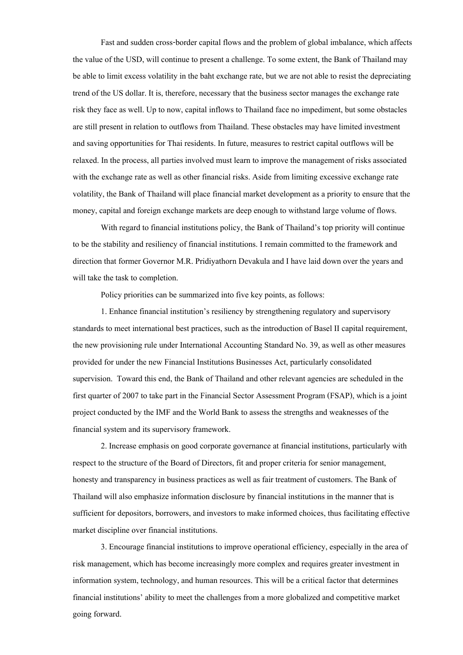Fast and sudden cross-border capital flows and the problem of global imbalance, which affects the value of the USD, will continue to present a challenge. To some extent, the Bank of Thailand may be able to limit excess volatility in the baht exchange rate, but we are not able to resist the depreciating trend of the US dollar. It is, therefore, necessary that the business sector manages the exchange rate risk they face as well. Up to now, capital inflows to Thailand face no impediment, but some obstacles are still present in relation to outflows from Thailand. These obstacles may have limited investment and saving opportunities for Thai residents. In future, measures to restrict capital outflows will be relaxed. In the process, all parties involved must learn to improve the management of risks associated with the exchange rate as well as other financial risks. Aside from limiting excessive exchange rate volatility, the Bank of Thailand will place financial market development as a priority to ensure that the money, capital and foreign exchange markets are deep enough to withstand large volume of flows.

 With regard to financial institutions policy, the Bank of Thailand's top priority will continue to be the stability and resiliency of financial institutions. I remain committed to the framework and direction that former Governor M.R. Pridiyathorn Devakula and I have laid down over the years and will take the task to completion.

Policy priorities can be summarized into five key points, as follows:

 1. Enhance financial institution's resiliency by strengthening regulatory and supervisory standards to meet international best practices, such as the introduction of Basel II capital requirement, the new provisioning rule under International Accounting Standard No. 39, as well as other measures provided for under the new Financial Institutions Businesses Act, particularly consolidated supervision. Toward this end, the Bank of Thailand and other relevant agencies are scheduled in the first quarter of 2007 to take part in the Financial Sector Assessment Program (FSAP), which is a joint project conducted by the IMF and the World Bank to assess the strengths and weaknesses of the financial system and its supervisory framework.

 2. Increase emphasis on good corporate governance at financial institutions, particularly with respect to the structure of the Board of Directors, fit and proper criteria for senior management, honesty and transparency in business practices as well as fair treatment of customers. The Bank of Thailand will also emphasize information disclosure by financial institutions in the manner that is sufficient for depositors, borrowers, and investors to make informed choices, thus facilitating effective market discipline over financial institutions.

 3. Encourage financial institutions to improve operational efficiency, especially in the area of risk management, which has become increasingly more complex and requires greater investment in information system, technology, and human resources. This will be a critical factor that determines financial institutions' ability to meet the challenges from a more globalized and competitive market going forward.